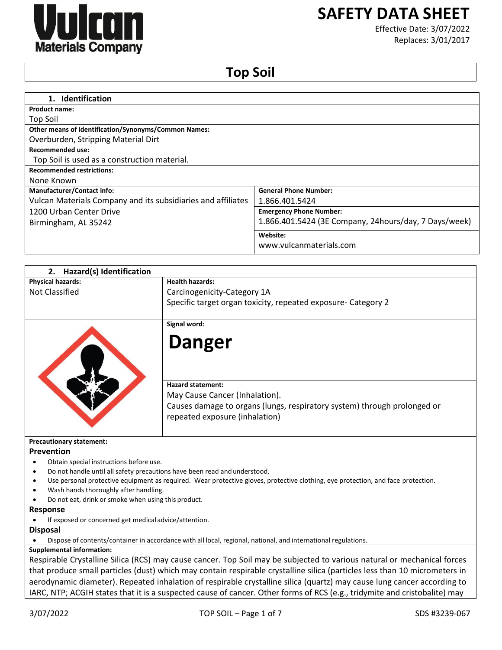

# **SAFETY DATA SHEET**

Effective Date: 3/07/2022 Replaces: 3/01/2017

## **Top Soil**

| 1. Identification                                            |                                                       |
|--------------------------------------------------------------|-------------------------------------------------------|
| Product name:                                                |                                                       |
| Top Soil                                                     |                                                       |
| Other means of identification/Synonyms/Common Names:         |                                                       |
| Overburden, Stripping Material Dirt                          |                                                       |
| Recommended use:                                             |                                                       |
| Top Soil is used as a construction material.                 |                                                       |
| <b>Recommended restrictions:</b>                             |                                                       |
| None Known                                                   |                                                       |
|                                                              |                                                       |
| <b>Manufacturer/Contact info:</b>                            | <b>General Phone Number:</b>                          |
| Vulcan Materials Company and its subsidiaries and affiliates | 1.866.401.5424                                        |
| 1200 Urban Center Drive                                      | <b>Emergency Phone Number:</b>                        |
| Birmingham, AL 35242                                         | 1.866.401.5424 (3E Company, 24hours/day, 7 Days/week) |
|                                                              | Website:                                              |
|                                                              | www.vulcanmaterials.com                               |
|                                                              |                                                       |

| Hazard(s) Identification<br>2.                                            |                                                                                                                                  |
|---------------------------------------------------------------------------|----------------------------------------------------------------------------------------------------------------------------------|
| <b>Physical hazards:</b>                                                  | <b>Health hazards:</b>                                                                                                           |
| <b>Not Classified</b>                                                     | Carcinogenicity-Category 1A                                                                                                      |
|                                                                           | Specific target organ toxicity, repeated exposure- Category 2                                                                    |
|                                                                           | Signal word:                                                                                                                     |
|                                                                           | <b>Danger</b>                                                                                                                    |
|                                                                           | <b>Hazard statement:</b>                                                                                                         |
|                                                                           | May Cause Cancer (Inhalation).                                                                                                   |
|                                                                           | Causes damage to organs (lungs, respiratory system) through prolonged or<br>repeated exposure (inhalation)                       |
| <b>Precautionary statement:</b>                                           |                                                                                                                                  |
| <b>Prevention</b>                                                         |                                                                                                                                  |
| Obtain special instructions before use.                                   |                                                                                                                                  |
| Do not handle until all safety precautions have been read and understood. |                                                                                                                                  |
|                                                                           | Use personal protective equipment as required. Wear protective gloves, protective clothing, eye protection, and face protection. |
| Wash hands thoroughly after handling.                                     |                                                                                                                                  |
| Do not eat, drink or smoke when using this product.                       |                                                                                                                                  |

#### **Response**

If exposed or concerned get medical advice/attention.

#### **Disposal**

Dispose of contents/container in accordance with all local, regional, national, and international regulations.

## **Supplemental information:**

Respirable Crystalline Silica (RCS) may cause cancer. Top Soil may be subjected to various natural or mechanical forces that produce small particles (dust) which may contain respirable crystalline silica (particles less than 10 micrometers in aerodynamic diameter). Repeated inhalation of respirable crystalline silica (quartz) may cause lung cancer according to IARC, NTP; ACGIH states that it is a suspected cause of cancer. Other forms of RCS (e.g., tridymite and cristobalite) may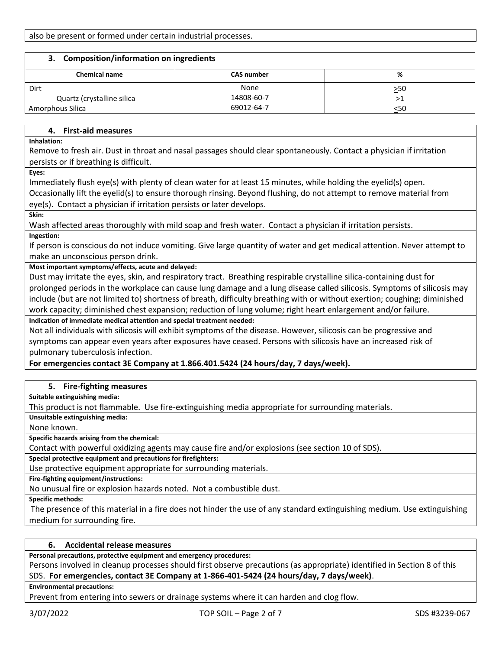| <b>Composition/information on ingredients</b><br>З. |                   |           |
|-----------------------------------------------------|-------------------|-----------|
| <b>Chemical name</b>                                | <b>CAS number</b> | %         |
| Dirt                                                | None              | $\geq 50$ |
| Quartz (crystalline silica                          | 14808-60-7        | >1        |
| Amorphous Silica                                    | 69012-64-7        | <50       |

## **4. First-aid measures**

**Inhalation:**

Remove to fresh air. Dust in throat and nasal passages should clear spontaneously. Contact a physician if irritation persists or if breathing is difficult.

**Eyes:**

Immediately flush eye(s) with plenty of clean water for at least 15 minutes, while holding the eyelid(s) open.

Occasionally lift the eyelid(s) to ensure thorough rinsing. Beyond flushing, do not attempt to remove material from eye(s). Contact a physician if irritation persists or later develops.

**Skin:**

Wash affected areas thoroughly with mild soap and fresh water. Contact a physician if irritation persists.

**Ingestion:**

If person is conscious do not induce vomiting. Give large quantity of water and get medical attention. Never attempt to make an unconscious person drink.

**Most important symptoms/effects, acute and delayed:**

Dust may irritate the eyes, skin, and respiratory tract. Breathing respirable crystalline silica-containing dust for prolonged periods in the workplace can cause lung damage and a lung disease called silicosis. Symptoms of silicosis may include (but are not limited to) shortness of breath, difficulty breathing with or without exertion; coughing; diminished work capacity; diminished chest expansion; reduction of lung volume; right heart enlargement and/or failure.

**Indication of immediate medical attention and special treatment needed:**

Not all individuals with silicosis will exhibit symptoms of the disease. However, silicosis can be progressive and symptoms can appear even years after exposures have ceased. Persons with silicosis have an increased risk of pulmonary tuberculosis infection.

**For emergencies contact 3E Company at 1.866.401.5424 (24 hours/day, 7 days/week).**

## **5. Fire-fighting measures**

**Suitable extinguishing media:**

This product is not flammable. Use fire-extinguishing media appropriate for surrounding materials.

**Unsuitable extinguishing media:**

None known.

**Specific hazards arising from the chemical:**

Contact with powerful oxidizing agents may cause fire and/or explosions (see section 10 of SDS).

**Special protective equipment and precautions for firefighters:**

Use protective equipment appropriate for surrounding materials.

**Fire-fighting equipment/instructions:**

No unusual fire or explosion hazards noted. Not a combustible dust.

**Specific methods:**

The presence of this material in a fire does not hinder the use of any standard extinguishing medium. Use extinguishing medium for surrounding fire.

## **6. Accidental release measures**

**Personal precautions, protective equipment and emergency procedures:**

Persons involved in cleanup processes should first observe precautions (as appropriate) identified in Section 8 of this SDS. **For emergencies, contact 3E Company at 1-866-401-5424 (24 hours/day, 7 days/week)**.

## **Environmental precautions:**

Prevent from entering into sewers or drainage systems where it can harden and clog flow.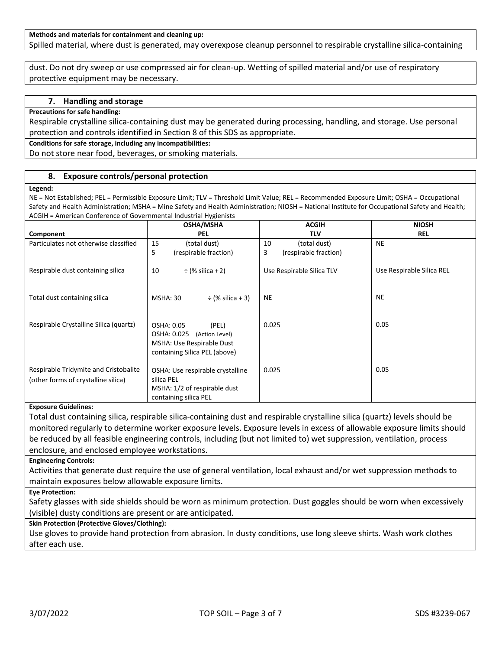#### **Methods and materials for containment and cleaning up:** Spilled material, where dust is generated, may overexpose cleanup personnel to respirable crystalline silica-containing

dust. Do not dry sweep or use compressed air for clean-up. Wetting of spilled material and/or use of respiratory protective equipment may be necessary.

#### **7. Handling and storage**

**Precautions for safe handling:**

Respirable crystalline silica-containing dust may be generated during processing, handling, and storage. Use personal protection and controls identified in Section 8 of this SDS as appropriate.

**Conditions for safe storage, including any incompatibilities:**

Do not store near food, beverages, or smoking materials.

#### **8. Exposure controls/personal protection**

#### **Legend:**

NE = Not Established; PEL = Permissible Exposure Limit; TLV = Threshold Limit Value; REL = Recommended Exposure Limit; OSHA = Occupational Safety and Health Administration; MSHA = Mine Safety and Health Administration; NIOSH = National Institute for Occupational Safety and Health; ACGIH = American Conference of Governmental Industrial Hygienists

|                                                                                   | <b>OSHA/MSHA</b>                                                                                                   | <b>ACGIH</b>               | <b>NIOSH</b>              |
|-----------------------------------------------------------------------------------|--------------------------------------------------------------------------------------------------------------------|----------------------------|---------------------------|
| Component                                                                         | <b>PEL</b>                                                                                                         | <b>TLV</b>                 | REL                       |
| Particulates not otherwise classified                                             | 15<br>(total dust)                                                                                                 | 10<br>(total dust)         | <b>NE</b>                 |
|                                                                                   | 5<br>(respirable fraction)                                                                                         | 3<br>(respirable fraction) |                           |
| Respirable dust containing silica                                                 | 10<br>$\div$ (% silica + 2)                                                                                        | Use Respirable Silica TLV  | Use Respirable Silica REL |
| Total dust containing silica                                                      | $\div$ (% silica + 3)<br><b>MSHA: 30</b>                                                                           | <b>NE</b>                  | <b>NE</b>                 |
| Respirable Crystalline Silica (quartz)                                            | OSHA: 0.05<br>(PEL)<br>OSHA: 0.025<br>(Action Level)<br>MSHA: Use Respirable Dust<br>containing Silica PEL (above) | 0.025                      | 0.05                      |
| Respirable Tridymite and Cristobalite<br>(other forms of crystalline silica)<br>. | OSHA: Use respirable crystalline<br>silica PEL<br>MSHA: 1/2 of respirable dust<br>containing silica PEL            | 0.025                      | 0.05                      |

#### **Exposure Guidelines:**

Total dust containing silica, respirable silica-containing dust and respirable crystalline silica (quartz) levels should be monitored regularly to determine worker exposure levels. Exposure levels in excess of allowable exposure limits should be reduced by all feasible engineering controls, including (but not limited to) wet suppression, ventilation, process enclosure, and enclosed employee workstations.

#### **Engineering Controls:**

Activities that generate dust require the use of general ventilation, local exhaust and/or wet suppression methods to maintain exposures below allowable exposure limits.

**Eye Protection:**

Safety glasses with side shields should be worn as minimum protection. Dust goggles should be worn when excessively (visible) dusty conditions are present or are anticipated.

## **Skin Protection (Protective Gloves/Clothing):**

Use gloves to provide hand protection from abrasion. In dusty conditions, use long sleeve shirts. Wash work clothes after each use.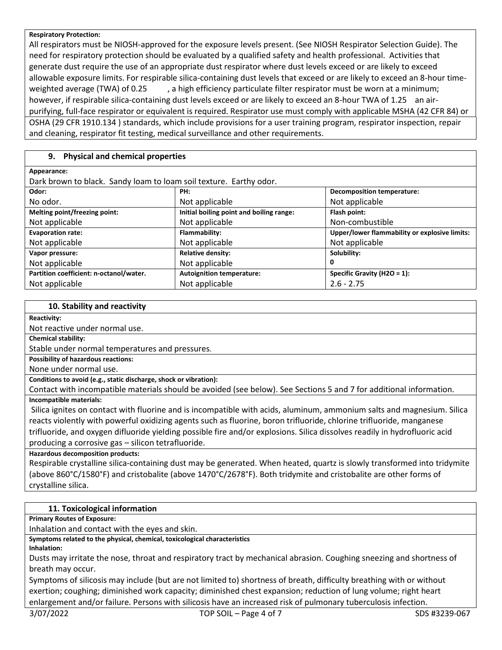#### **Respiratory Protection:**

All respirators must be NIOSH-approved for the exposure levels present. (See NIOSH Respirator Selection Guide). The need for respiratory protection should be evaluated by a qualified safety and health professional. Activities that generate dust require the use of an appropriate dust respirator where dust levels exceed or are likely to exceed allowable exposure limits. For respirable silica-containing dust levels that exceed or are likely to exceed an 8-hour timeweighted average (TWA) of 0.25 , a high efficiency particulate filter respirator must be worn at a minimum; however, if respirable silica-containing dust levels exceed or are likely to exceed an 8-hour TWA of 1.25 an airpurifying, full-face respirator or equivalent is required. Respirator use must comply with applicable MSHA (42 CFR 84) or OSHA (29 CFR 1910.134 ) standards, which include provisions for a user training program, respirator inspection, repair and cleaning, respirator fit testing, medical surveillance and other requirements.

## **9. Physical and chemical properties**

| Appearance:                                                        |                                          |                                               |
|--------------------------------------------------------------------|------------------------------------------|-----------------------------------------------|
| Dark brown to black. Sandy loam to loam soil texture. Earthy odor. |                                          |                                               |
| Odor:                                                              | PH:                                      | <b>Decomposition temperature:</b>             |
| No odor.                                                           | Not applicable                           | Not applicable                                |
| Melting point/freezing point:                                      | Initial boiling point and boiling range: | Flash point:                                  |
| Not applicable                                                     | Not applicable                           | Non-combustible                               |
| <b>Evaporation rate:</b>                                           | Flammability:                            | Upper/lower flammability or explosive limits: |
| Not applicable                                                     | Not applicable                           | Not applicable                                |
| Vapor pressure:                                                    | <b>Relative density:</b>                 | Solubility:                                   |
| Not applicable                                                     | Not applicable                           | 0                                             |
| Partition coefficient: n-octanol/water.                            | <b>Autoignition temperature:</b>         | Specific Gravity (H2O = 1):                   |
| Not applicable                                                     | Not applicable                           | $2.6 - 2.75$                                  |

## **10. Stability and reactivity**

#### **Reactivity:**

Not reactive under normal use.

**Chemical stability:**

Stable under normal temperatures and pressures.

**Possibility of hazardous reactions:**

None under normal use.

**Conditions to avoid (e.g., static discharge, shock or vibration):**

Contact with incompatible materials should be avoided (see below). See Sections 5 and 7 for additional information. **Incompatible materials:**

Silica ignites on contact with fluorine and is incompatible with acids, aluminum, ammonium salts and magnesium. Silica reacts violently with powerful oxidizing agents such as fluorine, boron trifluoride, chlorine trifluoride, manganese trifluoride, and oxygen difluoride yielding possible fire and/or explosions. Silica dissolves readily in hydrofluoric acid producing a corrosive gas – silicon tetrafluoride.

**Hazardous decomposition products:**

Respirable crystalline silica-containing dust may be generated. When heated, quartz is slowly transformed into tridymite (above 860°C/1580°F) and cristobalite (above 1470°C/2678°F). Both tridymite and cristobalite are other forms of crystalline silica.

## **11. Toxicological information**

**Primary Routes of Exposure:**

Inhalation and contact with the eyes and skin.

**Symptoms related to the physical, chemical, toxicological characteristics** 

**Inhalation:**

Dusts may irritate the nose, throat and respiratory tract by mechanical abrasion. Coughing sneezing and shortness of breath may occur.

Symptoms of silicosis may include (but are not limited to) shortness of breath, difficulty breathing with or without exertion; coughing; diminished work capacity; diminished chest expansion; reduction of lung volume; right heart enlargement and/or failure. Persons with silicosis have an increased risk of pulmonary tuberculosis infection.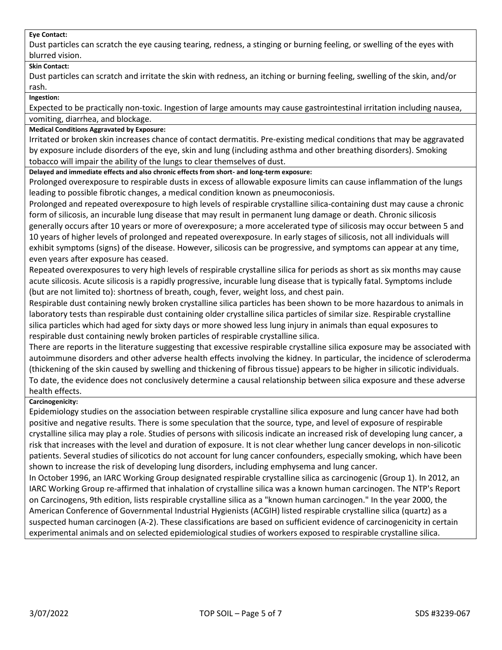#### **Eye Contact:**

Dust particles can scratch the eye causing tearing, redness, a stinging or burning feeling, or swelling of the eyes with blurred vision.

## **Skin Contact:**

Dust particles can scratch and irritate the skin with redness, an itching or burning feeling, swelling of the skin, and/or rash.

**Ingestion:**

Expected to be practically non-toxic. Ingestion of large amounts may cause gastrointestinal irritation including nausea, vomiting, diarrhea, and blockage.

## **Medical Conditions Aggravated by Exposure:**

Irritated or broken skin increases chance of contact dermatitis. Pre-existing medical conditions that may be aggravated by exposure include disorders of the eye, skin and lung (including asthma and other breathing disorders). Smoking tobacco will impair the ability of the lungs to clear themselves of dust.

**Delayed and immediate effects and also chronic effects from short- and long-term exposure:**

Prolonged overexposure to respirable dusts in excess of allowable exposure limits can cause inflammation of the lungs leading to possible fibrotic changes, a medical condition known as pneumoconiosis.

Prolonged and repeated overexposure to high levels of respirable crystalline silica-containing dust may cause a chronic form of silicosis, an incurable lung disease that may result in permanent lung damage or death. Chronic silicosis generally occurs after 10 years or more of overexposure; a more accelerated type of silicosis may occur between 5 and 10 years of higher levels of prolonged and repeated overexposure. In early stages of silicosis, not all individuals will exhibit symptoms (signs) of the disease. However, silicosis can be progressive, and symptoms can appear at any time, even years after exposure has ceased.

Repeated overexposures to very high levels of respirable crystalline silica for periods as short as six months may cause acute silicosis. Acute silicosis is a rapidly progressive, incurable lung disease that is typically fatal. Symptoms include (but are not limited to): shortness of breath, cough, fever, weight loss, and chest pain.

Respirable dust containing newly broken crystalline silica particles has been shown to be more hazardous to animals in laboratory tests than respirable dust containing older crystalline silica particles of similar size. Respirable crystalline silica particles which had aged for sixty days or more showed less lung injury in animals than equal exposures to respirable dust containing newly broken particles of respirable crystalline silica.

There are reports in the literature suggesting that excessive respirable crystalline silica exposure may be associated with autoimmune disorders and other adverse health effects involving the kidney. In particular, the incidence of scleroderma (thickening of the skin caused by swelling and thickening of fibrous tissue) appears to be higher in silicotic individuals. To date, the evidence does not conclusively determine a causal relationship between silica exposure and these adverse health effects.

## **Carcinogenicity:**

Epidemiology studies on the association between respirable crystalline silica exposure and lung cancer have had both positive and negative results. There is some speculation that the source, type, and level of exposure of respirable crystalline silica may play a role. Studies of persons with silicosis indicate an increased risk of developing lung cancer, a risk that increases with the level and duration of exposure. It is not clear whether lung cancer develops in non-silicotic patients. Several studies of silicotics do not account for lung cancer confounders, especially smoking, which have been shown to increase the risk of developing lung disorders, including emphysema and lung cancer.

In October 1996, an IARC Working Group designated respirable crystalline silica as carcinogenic (Group 1). In 2012, an IARC Working Group re-affirmed that inhalation of crystalline silica was a known human carcinogen. The NTP's Report on Carcinogens, 9th edition, lists respirable crystalline silica as a "known human carcinogen." In the year 2000, the American Conference of Governmental Industrial Hygienists (ACGIH) listed respirable crystalline silica (quartz) as a suspected human carcinogen (A-2). These classifications are based on sufficient evidence of carcinogenicity in certain experimental animals and on selected epidemiological studies of workers exposed to respirable crystalline silica.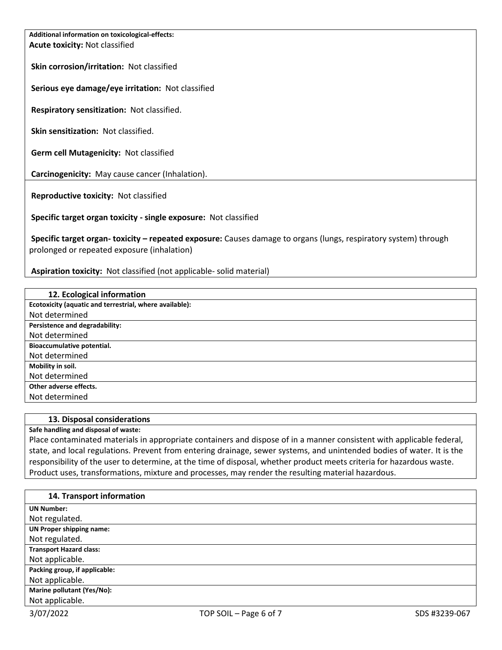**Additional information on toxicological-effects: Acute toxicity:** Not classified

**Skin corrosion/irritation:** Not classified

**Serious eye damage/eye irritation:** Not classified

**Respiratory sensitization:** Not classified.

**Skin sensitization:** Not classified.

**Germ cell Mutagenicity:** Not classified

**Carcinogenicity:** May cause cancer (Inhalation).

**Reproductive toxicity:** Not classified

**Specific target organ toxicity - single exposure:** Not classified

**Specific target organ- toxicity – repeated exposure:** Causes damage to organs (lungs, respiratory system) through prolonged or repeated exposure (inhalation)

**Aspiration toxicity:** Not classified (not applicable- solid material)

| 12. Ecological information                              |
|---------------------------------------------------------|
| Ecotoxicity (aquatic and terrestrial, where available): |
| Not determined                                          |
| Persistence and degradability:                          |
| Not determined                                          |
| Bioaccumulative potential.                              |
| Not determined                                          |
| Mobility in soil.                                       |
| Not determined                                          |
| Other adverse effects.                                  |
| Not determined                                          |

## **13. Disposal considerations**

**Safe handling and disposal of waste:**

Place contaminated materials in appropriate containers and dispose of in a manner consistent with applicable federal, state, and local regulations. Prevent from entering drainage, sewer systems, and unintended bodies of water. It is the responsibility of the user to determine, at the time of disposal, whether product meets criteria for hazardous waste. Product uses, transformations, mixture and processes, may render the resulting material hazardous.

| 14. Transport information       |
|---------------------------------|
| <b>UN Number:</b>               |
| Not regulated.                  |
| <b>UN Proper shipping name:</b> |
| Not regulated.                  |
| <b>Transport Hazard class:</b>  |
| Not applicable.                 |
| Packing group, if applicable:   |
| Not applicable.                 |
| Marine pollutant (Yes/No):      |
| Not applicable.                 |